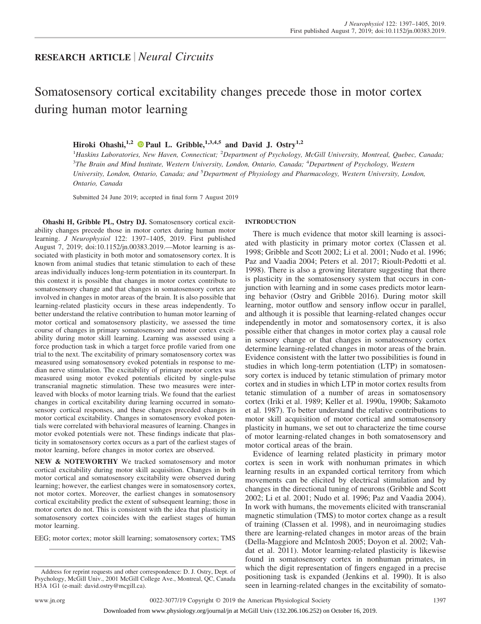## **RESEARCH ARTICLE** *Neural Circuits*

# Somatosensory cortical excitability changes precede those in motor cortex during human motor learning

### Hiroki Ohashi,<sup>1,2</sup>  $\bullet$  [Paul L. Gribble,](https://orcid.org/0000-0002-1368-032X)<sup>1,3,4,5</sup> and David J. Ostry<sup>1,2</sup>

<sup>1</sup> Haskins Laboratories, New Haven, Connecticut; <sup>2</sup> Department of Psychology, McGill University, Montreal, Quebec, Canada; 3 *The Brain and Mind Institute, Western University, London, Ontario, Canada;* <sup>4</sup> *Department of Psychology, Western University, London, Ontario, Canada; and* <sup>5</sup> *Department of Physiology and Pharmacology, Western University, London, Ontario, Canada*

Submitted 24 June 2019; accepted in final form 7 August 2019

**Ohashi H, Gribble PL, Ostry DJ.** Somatosensory cortical excitability changes precede those in motor cortex during human motor learning. *J Neurophysiol* 122: 1397–1405, 2019. First published August 7, 2019; doi[:10.1152/jn.00383.2019.](http://doi.org/10.1152/jn.00383.2019)—Motor learning is associated with plasticity in both motor and somatosensory cortex. It is known from animal studies that tetanic stimulation to each of these areas individually induces long-term potentiation in its counterpart. In this context it is possible that changes in motor cortex contribute to somatosensory change and that changes in somatosensory cortex are involved in changes in motor areas of the brain. It is also possible that learning-related plasticity occurs in these areas independently. To better understand the relative contribution to human motor learning of motor cortical and somatosensory plasticity, we assessed the time course of changes in primary somatosensory and motor cortex excitability during motor skill learning. Learning was assessed using a force production task in which a target force profile varied from one trial to the next. The excitability of primary somatosensory cortex was measured using somatosensory evoked potentials in response to median nerve stimulation. The excitability of primary motor cortex was measured using motor evoked potentials elicited by single-pulse transcranial magnetic stimulation. These two measures were interleaved with blocks of motor learning trials. We found that the earliest changes in cortical excitability during learning occurred in somatosensory cortical responses, and these changes preceded changes in motor cortical excitability. Changes in somatosensory evoked potentials were correlated with behavioral measures of learning. Changes in motor evoked potentials were not. These findings indicate that plasticity in somatosensory cortex occurs as a part of the earliest stages of motor learning, before changes in motor cortex are observed.

**NEW & NOTEWORTHY** We tracked somatosensory and motor cortical excitability during motor skill acquisition. Changes in both motor cortical and somatosensory excitability were observed during learning; however, the earliest changes were in somatosensory cortex, not motor cortex. Moreover, the earliest changes in somatosensory cortical excitability predict the extent of subsequent learning; those in motor cortex do not. This is consistent with the idea that plasticity in somatosensory cortex coincides with the earliest stages of human motor learning.

EEG; motor cortex; motor skill learning; somatosensory cortex; TMS

#### **INTRODUCTION**

There is much evidence that motor skill learning is associated with plasticity in primary motor cortex (Classen et al. 1998; Gribble and Scott 2002; Li et al. 2001; Nudo et al. 1996; Paz and Vaadia 2004; Peters et al. 2017; Rioult-Pedotti et al. 1998). There is also a growing literature suggesting that there is plasticity in the somatosensory system that occurs in conjunction with learning and in some cases predicts motor learning behavior (Ostry and Gribble 2016). During motor skill learning, motor outflow and sensory inflow occur in parallel, and although it is possible that learning-related changes occur independently in motor and somatosensory cortex, it is also possible either that changes in motor cortex play a causal role in sensory change or that changes in somatosensory cortex determine learning-related changes in motor areas of the brain. Evidence consistent with the latter two possibilities is found in studies in which long-term potentiation (LTP) in somatosensory cortex is induced by tetanic stimulation of primary motor cortex and in studies in which LTP in motor cortex results from tetanic stimulation of a number of areas in somatosensory cortex (Iriki et al. 1989; Keller et al. 1990a, 1990b; Sakamoto et al. 1987). To better understand the relative contributions to motor skill acquisition of motor cortical and somatosensory plasticity in humans, we set out to characterize the time course of motor learning-related changes in both somatosensory and motor cortical areas of the brain.

Evidence of learning related plasticity in primary motor cortex is seen in work with nonhuman primates in which learning results in an expanded cortical territory from which movements can be elicited by electrical stimulation and by changes in the directional tuning of neurons (Gribble and Scott 2002; Li et al. 2001; Nudo et al. 1996; Paz and Vaadia 2004). In work with humans, the movements elicited with transcranial magnetic stimulation (TMS) to motor cortex change as a result of training (Classen et al. 1998), and in neuroimaging studies there are learning-related changes in motor areas of the brain (Della-Maggiore and McIntosh 2005; Doyon et al. 2002; Vahdat et al. 2011). Motor learning-related plasticity is likewise found in somatosensory cortex in nonhuman primates, in which the digit representation of fingers engaged in a precise positioning task is expanded (Jenkins et al. 1990). It is also seen in learning-related changes in the excitability of somato-

Address for reprint requests and other correspondence: D. J. Ostry, Dept. of Psychology, McGill Univ., 2001 McGill College Ave., Montreal, QC, Canada H3A 1G1 (e-mail: [david.ostry@mcgill.ca\)](mailto:david.ostry@mcgill.ca).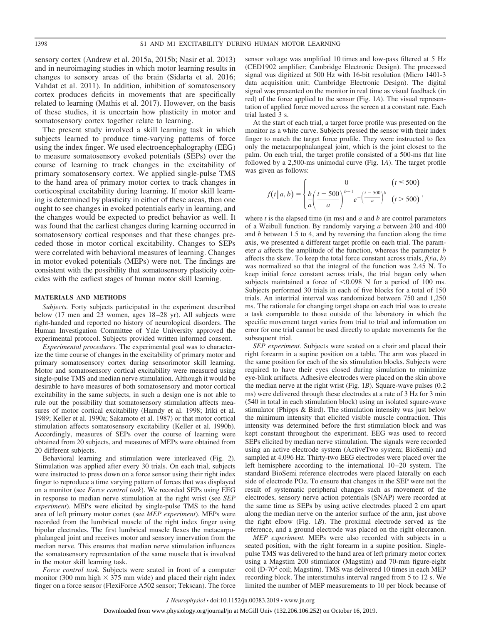sensory cortex (Andrew et al. 2015a, 2015b; Nasir et al. 2013) and in neuroimaging studies in which motor learning results in changes to sensory areas of the brain (Sidarta et al. 2016; Vahdat et al. 2011). In addition, inhibition of somatosensory cortex produces deficits in movements that are specifically related to learning (Mathis et al. 2017). However, on the basis of these studies, it is uncertain how plasticity in motor and somatosensory cortex together relate to learning.

The present study involved a skill learning task in which subjects learned to produce time-varying patterns of force using the index finger. We used electroencephalography (EEG) to measure somatosensory evoked potentials (SEPs) over the course of learning to track changes in the excitability of primary somatosensory cortex. We applied single-pulse TMS to the hand area of primary motor cortex to track changes in corticospinal excitability during learning. If motor skill learning is determined by plasticity in either of these areas, then one ought to see changes in evoked potentials early in learning, and the changes would be expected to predict behavior as well. It was found that the earliest changes during learning occurred in somatosensory cortical responses and that these changes preceded those in motor cortical excitability. Changes to SEPs were correlated with behavioral measures of learning. Changes in motor evoked potentials (MEPs) were not. The findings are consistent with the possibility that somatosensory plasticity coincides with the earliest stages of human motor skill learning.

#### **MATERIALS AND METHODS**

*Subjects.* Forty subjects participated in the experiment described below (17 men and 23 women, ages 18 –28 yr). All subjects were right-handed and reported no history of neurological disorders. The Human Investigation Committee of Yale University approved the experimental protocol. Subjects provided written informed consent.

*Experimental procedures.* The experimental goal was to characterize the time course of changes in the excitability of primary motor and primary somatosensory cortex during sensorimotor skill learning. Motor and somatosensory cortical excitability were measured using single-pulse TMS and median nerve stimulation. Although it would be desirable to have measures of both somatosensory and motor cortical excitability in the same subjects, in such a design one is not able to rule out the possibility that somatosensory stimulation affects measures of motor cortical excitability (Hamdy et al. 1998; Iriki et al. 1989; Keller et al. 1990a; Sakamoto et al. 1987) or that motor cortical stimulation affects somatosensory excitability (Keller et al. 1990b). Accordingly, measures of SEPs over the course of learning were obtained from 20 subjects, and measures of MEPs were obtained from 20 different subjects.

Behavioral learning and stimulation were interleaved (Fig. 2). Stimulation was applied after every 30 trials. On each trial, subjects were instructed to press down on a force sensor using their right index finger to reproduce a time varying pattern of forces that was displayed on a monitor (see *Force control task*). We recorded SEPs using EEG in response to median nerve stimulation at the right wrist (see *SEP experiment*). MEPs were elicited by single-pulse TMS to the hand area of left primary motor cortex (see *MEP experiment*). MEPs were recorded from the lumbrical muscle of the right index finger using bipolar electrodes. The first lumbrical muscle flexes the metacarpophalangeal joint and receives motor and sensory innervation from the median nerve. This ensures that median nerve stimulation influences the somatosensory representation of the same muscle that is involved in the motor skill learning task.

*Force control task.* Subjects were seated in front of a computer monitor (300 mm high  $\times$  375 mm wide) and placed their right index finger on a force sensor (FlexiForce A502 sensor; Tekscan). The force

sensor voltage was amplified 10 times and low-pass filtered at 5 Hz (CED1902 amplifier; Cambridge Electronic Design). The processed signal was digitized at 500 Hz with 16-bit resolution (Micro 1401-3 data acquisition unit; Cambridge Electronic Design). The digital signal was presented on the monitor in real time as visual feedback (in red) of the force applied to the sensor (Fig. 1*A*). The visual representation of applied force moved across the screen at a constant rate. Each trial lasted 3 s.

At the start of each trial, a target force profile was presented on the monitor as a white curve. Subjects pressed the sensor with their index finger to match the target force profile. They were instructed to flex only the metacarpophalangeal joint, which is the joint closest to the palm. On each trial, the target profile consisted of a 500-ms flat line followed by a 2,500-ms unimodal curve (Fig. 1*A*). The target profile was given as follows:

$$
f(t|a,b) = \begin{cases} 0 & (t \le 500) \\ \frac{b}{a} \left( \frac{t - 500}{a} \right)^{b-1} e^{-\left( \frac{t - 500}{a} \right)^b} & (t > 500) \end{cases}
$$

where *t* is the elapsed time (in ms) and *a* and *b* are control parameters of a Weibull function. By randomly varying *a* between 240 and 400 and *b* between 1.5 to 4, and by reversing the function along the time axis, we presented a different target profile on each trial. The parameter *a* affects the amplitude of the function, whereas the parameter *b* affects the skew. To keep the total force constant across trials,  $f(t|a, b)$ was normalized so that the integral of the function was 2.45 N. To keep initial force constant across trials, the trial began only when subjects maintained a force of  $\leq 0.098$  N for a period of 100 ms. Subjects performed 30 trials in each of five blocks for a total of 150 trials. An intertrial interval was randomized between 750 and 1,250 ms. The rationale for changing target shape on each trial was to create a task comparable to those outside of the laboratory in which the specific movement target varies from trial to trial and information on error for one trial cannot be used directly to update movements for the subsequent trial.

*SEP experiment.* Subjects were seated on a chair and placed their right forearm in a supine position on a table. The arm was placed in the same position for each of the six stimulation blocks. Subjects were required to have their eyes closed during simulation to minimize eye-blink artifacts. Adhesive electrodes were placed on the skin above the median nerve at the right wrist (Fig. 1*B*). Square-wave pulses (0.2 ms) were delivered through these electrodes at a rate of 3 Hz for 3 min (540 in total in each stimulation block) using an isolated square-wave stimulator (Phipps & Bird). The stimulation intensity was just below the minimum intensity that elicited visible muscle contraction. This intensity was determined before the first stimulation block and was kept constant throughout the experiment. EEG was used to record SEPs elicited by median nerve stimulation. The signals were recorded using an active electrode system (ActiveTwo system; BioSemi) and sampled at 4,096 Hz. Thirty-two EEG electrodes were placed over the left hemisphere according to the international 10 –20 system. The standard BioSemi reference electrodes were placed laterally on each side of electrode POz. To ensure that changes in the SEP were not the result of systematic peripheral changes such as movement of the electrodes, sensory nerve action potentials (SNAP) were recorded at the same time as SEPs by using active electrodes placed 2 cm apart along the median nerve on the anterior surface of the arm, just above the right elbow (Fig. 1*B*). The proximal electrode served as the reference, and a ground electrode was placed on the right olecranon.

*MEP experiment.* MEPs were also recorded with subjects in a seated position, with the right forearm in a supine position. Singlepulse TMS was delivered to the hand area of left primary motor cortex using a Magstim 200 stimulator (Magstim) and 70-mm figure-eight coil (D-70<sup>2</sup> coil; Magstim). TMS was delivered 10 times in each MEP recording block. The interstimulus interval ranged from 5 to 12 s. We limited the number of MEP measurements to 10 per block because of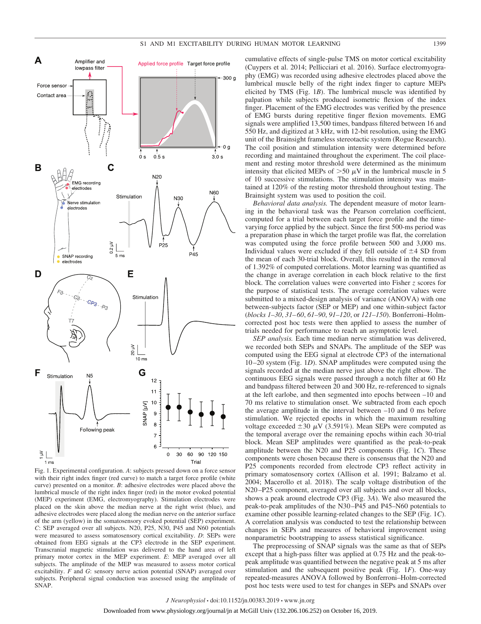

Fig. 1. Experimental configuration. *A*: subjects pressed down on a force sensor with their right index finger (red curve) to match a target force profile (white curve) presented on a monitor. *B*: adhesive electrodes were placed above the lumbrical muscle of the right index finger (red) in the motor evoked potential (MEP) experiment (EMG, electromyography). Stimulation electrodes were placed on the skin above the median nerve at the right wrist (blue), and adhesive electrodes were placed along the median nerve on the anterior surface of the arm (yellow) in the somatosensory evoked potential (SEP) experiment. *C*: SEP averaged over all subjects. N20, P25, N30, P45 and N60 potentials were measured to assess somatosensory cortical excitability. *D*: SEPs were obtained from EEG signals at the CP3 electrode in the SEP experiment. Transcranial magnetic stimulation was delivered to the hand area of left primary motor cortex in the MEP experiment. *E*: MEP averaged over all subjects. The amplitude of the MEP was measured to assess motor cortical excitability. *F* and *G*: sensory nerve action potential (SNAP) averaged over subjects. Peripheral signal conduction was assessed using the amplitude of SNAP.

cumulative effects of single-pulse TMS on motor cortical excitability (Cuypers et al. 2014; Pellicciari et al. 2016). Surface electromyography (EMG) was recorded using adhesive electrodes placed above the lumbrical muscle belly of the right index finger to capture MEPs elicited by TMS (Fig. 1*B*). The lumbrical muscle was identified by palpation while subjects produced isometric flexion of the index finger. Placement of the EMG electrodes was verified by the presence of EMG bursts during repetitive finger flexion movements. EMG signals were amplified 13,500 times, bandpass filtered between 16 and 550 Hz, and digitized at 3 kHz, with 12-bit resolution, using the EMG unit of the Brainsight frameless stereotactic system (Rogue Research). The coil position and stimulation intensity were determined before recording and maintained throughout the experiment. The coil placement and resting motor threshold were determined as the minimum intensity that elicited MEPs of  $>50 \mu V$  in the lumbrical muscle in 5 of 10 successive stimulations. The stimulation intensity was maintained at 120% of the resting motor threshold throughout testing. The Brainsight system was used to position the coil.

*Behavioral data analysis.* The dependent measure of motor learning in the behavioral task was the Pearson correlation coefficient, computed for a trial between each target force profile and the timevarying force applied by the subject. Since the first 500-ms period was a preparation phase in which the target profile was flat, the correlation was computed using the force profile between 500 and 3,000 ms. Individual values were excluded if they fell outside of  $\pm 4$  SD from the mean of each 30-trial block. Overall, this resulted in the removal of 1.392% of computed correlations. Motor learning was quantified as the change in average correlation in each block relative to the first block. The correlation values were converted into Fisher *z* scores for the purpose of statistical tests. The average correlation values were submitted to a mixed-design analysis of variance (ANOVA) with one between-subjects factor (SEP or MEP) and one within-subject factor (*blocks 1–30*, *31– 60*, *61–90*, *91–120*, or *121–150*). Bonferroni–Holmcorrected post hoc tests were then applied to assess the number of trials needed for performance to reach an asymptotic level.

*SEP analysis.* Each time median nerve stimulation was delivered, we recorded both SEPs and SNAPs. The amplitude of the SEP was computed using the EEG signal at electrode CP3 of the international 10 –20 system (Fig. 1*D*). SNAP amplitudes were computed using the signals recorded at the median nerve just above the right elbow. The continuous EEG signals were passed through a notch filter at 60 Hz and bandpass filtered between 20 and 300 Hz, re-referenced to signals at the left earlobe, and then segmented into epochs between –10 and 70 ms relative to stimulation onset. We subtracted from each epoch the average amplitude in the interval between –10 and 0 ms before stimulation. We rejected epochs in which the maximum resulting voltage exceeded  $\pm 30 \mu V$  (3.591%). Mean SEPs were computed as the temporal average over the remaining epochs within each 30-trial block. Mean SEP amplitudes were quantified as the peak-to-peak amplitude between the N20 and P25 components (Fig. 1*C*). These components were chosen because there is consensus that the N20 and P25 components recorded from electrode CP3 reflect activity in primary somatosensory cortex (Allison et al. 1991; Balzamo et al. 2004; Macerollo et al. 2018). The scalp voltage distribution of the N20 –P25 component, averaged over all subjects and over all blocks, shows a peak around electrode CP3 (Fig. 3*A*). We also measured the peak-to-peak amplitudes of the N30 –P45 and P45–N60 potentials to examine other possible learning-related changes to the SEP (Fig. 1*C*). A correlation analysis was conducted to test the relationship between changes in SEPs and measures of behavioral improvement using nonparametric bootstrapping to assess statistical significance.

The preprocessing of SNAP signals was the same as that of SEPs except that a high-pass filter was applied at 0.75 Hz and the peak-topeak amplitude was quantified between the negative peak at 5 ms after stimulation and the subsequent positive peak (Fig. 1*F*). One-way repeated-measures ANOVA followed by Bonferroni–Holm-corrected post hoc tests were used to test for changes in SEPs and SNAPs over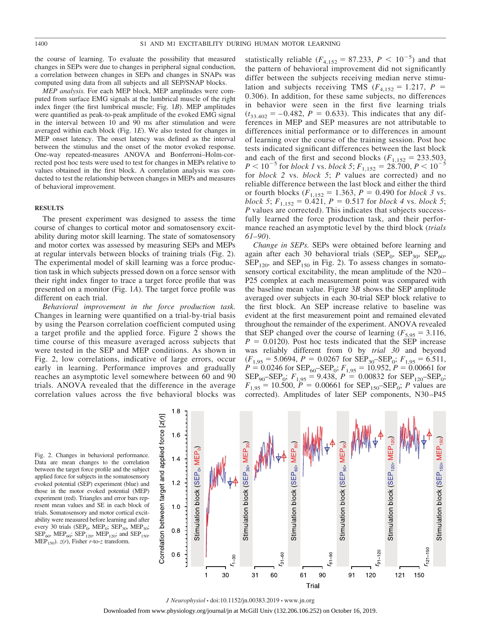the course of learning. To evaluate the possibility that measured changes in SEPs were due to changes in peripheral signal conduction, a correlation between changes in SEPs and changes in SNAPs was computed using data from all subjects and all SEP/SNAP blocks.

*MEP analysis.* For each MEP block, MEP amplitudes were computed from surface EMG signals at the lumbrical muscle of the right index finger (the first lumbrical muscle; Fig. 1*B*). MEP amplitudes were quantified as peak-to-peak amplitude of the evoked EMG signal in the interval between 10 and 90 ms after stimulation and were averaged within each block (Fig. 1*E*). We also tested for changes in MEP onset latency. The onset latency was defined as the interval between the stimulus and the onset of the motor evoked response. One-way repeated-measures ANOVA and Bonferroni–Holm-corrected post hoc tests were used to test for changes in MEPs relative to values obtained in the first block. A correlation analysis was conducted to test the relationship between changes in MEPs and measures of behavioral improvement.

#### **RESULTS**

The present experiment was designed to assess the time course of changes to cortical motor and somatosensory excitability during motor skill learning. The state of somatosensory and motor cortex was assessed by measuring SEPs and MEPs at regular intervals between blocks of training trials (Fig. 2). The experimental model of skill learning was a force production task in which subjects pressed down on a force sensor with their right index finger to trace a target force profile that was presented on a monitor (Fig. 1*A*). The target force profile was different on each trial.

*Behavioral improvement in the force production task.* Changes in learning were quantified on a trial-by-trial basis by using the Pearson correlation coefficient computed using a target profile and the applied force. Figure 2 shows the time course of this measure averaged across subjects that were tested in the SEP and MEP conditions. As shown in Fig. 2, low correlations, indicative of large errors, occur early in learning. Performance improves and gradually reaches an asymptotic level somewhere between 60 and 90 trials. ANOVA revealed that the difference in the average correlation values across the five behavioral blocks was

statistically reliable  $(F_{4,152} = 87.233, P \lt 10^{-5})$  and that the pattern of behavioral improvement did not significantly differ between the subjects receiving median nerve stimulation and subjects receiving TMS ( $F_{4,152} = 1.217$ ,  $P =$ 0.306). In addition, for these same subjects, no differences in behavior were seen in the first five learning trials  $(t_{33.402} = -0.482, P = 0.633)$ . This indicates that any differences in MEP and SEP measures are not attributable to differences initial performance or to differences in amount of learning over the course of the training session. Post hoc tests indicated significant differences between the last block and each of the first and second blocks  $(F_{1,152} = 233.503,$  $P < 10^{-5}$  for *block 1* vs. *block 5*;  $F_{1,152} = 28.700, P < 10^{-5}$ for *block 2* vs. *block 5*; *P* values are corrected) and no reliable difference between the last block and either the third or fourth blocks  $(F_{1,152} = 1.363, P = 0.490$  for *block 3* vs. *block 5*;  $F_{1,152} = 0.421$ ,  $P = 0.517$  for *block 4* vs. *block 5*; *P* values are corrected). This indicates that subjects successfully learned the force production task, and their performance reached an asymptotic level by the third block (*trials 61–90*).

*Change in SEPs.* SEPs were obtained before learning and again after each 30 behavioral trials (SEP<sub>0</sub>, SEP<sub>30</sub>, SEP<sub>60</sub>,  $\text{SEP}_{120}$ , and  $\text{SEP}_{150}$  in Fig. 2). To assess changes in somatosensory cortical excitability, the mean amplitude of the N20 – P25 complex at each measurement point was compared with the baseline mean value. Figure 3*B* shows the SEP amplitude averaged over subjects in each 30-trial SEP block relative to the first block. An SEP increase relative to baseline was evident at the first measurement point and remained elevated throughout the remainder of the experiment. ANOVA revealed that SEP changed over the course of learning ( $F_{5,95} = 3.116$ ,  $P = 0.0120$ . Post hoc tests indicated that the SEP increase was reliably different from 0 by *trial 30* and beyond  $(F_{1,95} = 5.0694, P = 0.0267$  for  $\text{SEP}_{30} - \text{SEP}_{0}$ ;  $F_{1,95} = 6.511$ ,  $P = 0.0246$  for  $\text{SEP}_{60}$ - $\text{SEP}_{0}$ ;  $F_{1,95} = 10.952$ ,  $P = 0.00661$  for  $\text{SEP}_{90}$ – $\text{SEP}_{0}$ ;  $F_{1,95} = 9.438$ ,  $P = 0.00832$  for  $\text{SEP}_{120}$ – $\text{SEP}_{0}$ ;  $F_{1,95} = 10.500$ ,  $P = 0.00661$  for SEP<sub>150</sub>–SEP<sub>0</sub>; *P* values are corrected). Amplitudes of later SEP components, N30 –P45

Fig. 2. Changes in behavioral performance. Data are mean changes to the correlation between the target force profile and the subject applied force for subjects in the somatosensory evoked potential (SEP) experiment (blue) and those in the motor evoked potential (MEP) experiment (red). Triangles and error bars represent mean values and SE in each block of trials. Somatosensory and motor cortical excitability were measured before learning and after every 30 trials (SEP<sub>0</sub>, MEP<sub>0</sub>; SEP<sub>30</sub>, MEP<sub>30</sub>;  $\text{SEP}_{60}$ ,  $\text{MED}_{60}$ ;  $\text{SEP}_{120}$ ,  $\text{MED}_{120}$ ; and  $\text{SEP}_{150}$ ,  $\text{MEP}_{150}$ ).  $z(r)$ , Fisher *r*-to-*z* transform.



*J Neurophysiol* • doi:10.1152/jn.00383.2019 • www.jn.org

Downloaded from www.physiology.org/journal/jn at McGill Univ (132.206.106.252) on October 16, 2019.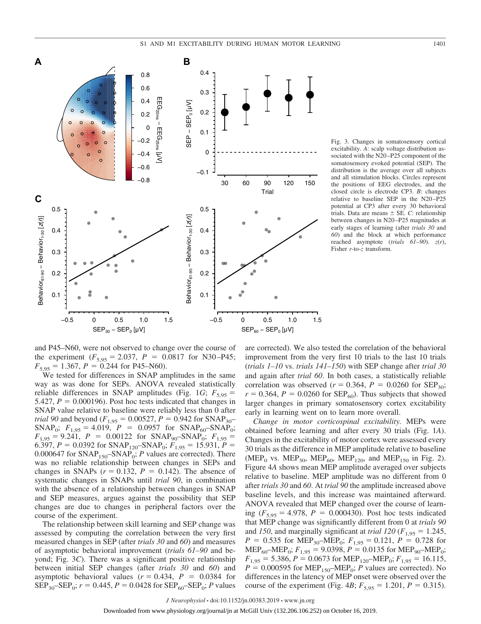

Fig. 3. Changes in somatosensory cortical excitability. *A*: scalp voltage distribution associated with the N20-P25 component of the somatosensory evoked potential (SEP). The distribution is the average over all subjects and all stimulation blocks. Circles represent the positions of EEG electrodes, and the closed circle is electrode CP3. *B*: changes relative to baseline SEP in the N20 –P25 potential at CP3 after every 30 behavioral trials. Data are means  $\pm$  SE. *C*: relationship between changes in N20 –P25 magnitudes at early stages of learning (after *trials 30* and *60*) and the block at which performance reached asymptote (*trials 61–90*). *z*(*r*), Fisher *r*-to-*z* transform.

and P45–N60, were not observed to change over the course of the experiment  $(F_{5,95} = 2.037, P = 0.0817$  for N30-P45;  $F_{5,95} = 1.367$ ,  $P = 0.244$  for P45–N60).

We tested for differences in SNAP amplitudes in the same way as was done for SEPs. ANOVA revealed statistically reliable differences in SNAP amplitudes (Fig. 1*G*;  $F_{5.95}$  = 5.427,  $P = 0.000196$ ). Post hoc tests indicated that changes in SNAP value relative to baseline were reliably less than 0 after *trial 90* and beyond ( $F_{1,95} = 0.00527$ ,  $P = 0.942$  for SNAP<sub>30</sub>–  $SNAP_0$ ;  $F_{1,95} = 4.019$ ,  $P = 0.0957$  for  $SNAP_{60}$ -SNAP<sub>0</sub>;  $F_{1,95} = 9.241$ ,  $P = 0.00122$  for  $SNAP_{90}$ – $SNAP_0$ ;  $F_{1,95} =$ 6.397,  $P = 0.0392$  for SNAP<sub>120</sub>–SNAP<sub>0</sub>;  $F_{1,95} = 15.931$ ,  $P =$ 0.000647 for  $SNAP_{150}$ – $SNAP_0$ ; *P* values are corrected). There was no reliable relationship between changes in SEPs and changes in SNAPs  $(r = 0.132, P = 0.142)$ . The absence of systematic changes in SNAPs until *trial 90*, in combination with the absence of a relationship between changes in SNAP and SEP measures, argues against the possibility that SEP changes are due to changes in peripheral factors over the course of the experiment.

The relationship between skill learning and SEP change was assessed by computing the correlation between the very first measured changes in SEP (after *trials 30* and *60*) and measures of asymptotic behavioral improvement (*trials 61–90* and beyond; Fig. 3*C*). There was a significant positive relationship between initial SEP changes (after *trials 30* and *60*) and asymptotic behavioral values  $(r = 0.434, P = 0.0384$  for  $\text{SEP}_{30}$ – $\text{SEP}_{0}$ ;  $r = 0.445$ ,  $P = 0.0428$  for  $\text{SEP}_{60}$ – $\text{SEP}_{0}$ ; *P* values are corrected). We also tested the correlation of the behavioral improvement from the very first 10 trials to the last 10 trials (*trials 1–10* vs. *trials 141–150*) with SEP change after *trial 30* and again after *trial 60*. In both cases, a statistically reliable correlation was observed ( $r = 0.364$ ,  $P = 0.0260$  for SEP<sub>30</sub>;  $r = 0.364$ ,  $P = 0.0260$  for SEP<sub>60</sub>). Thus subjects that showed larger changes in primary somatosensory cortex excitability early in learning went on to learn more overall.

*Change in motor corticospinal excitability.* MEPs were obtained before learning and after every 30 trials (Fig. 1*A*). Changes in the excitability of motor cortex were assessed every 30 trials as the difference in MEP amplitude relative to baseline (MEP<sub>0</sub> vs. MEP<sub>30</sub>, MEP<sub>60</sub>, MEP<sub>120</sub>, and MEP<sub>150</sub> in Fig. 2). Figure 4*A* shows mean MEP amplitude averaged over subjects relative to baseline. MEP amplitude was no different from 0 after *trials 30* and *60*. At *trial 90* the amplitude increased above baseline levels, and this increase was maintained afterward. ANOVA revealed that MEP changed over the course of learning  $(F_{5,95} = 4.978, P = 0.000430)$ . Post hoc tests indicated that MEP change was significantly different from 0 at *trials 90* and 150, and marginally significant at *trial* 120 ( $F_{1,95} = 1.245$ ,  $P = 0.535$  for MEP<sub>30</sub>–MEP<sub>0</sub>;  $F_{1,95} = 0.121$ ,  $P = 0.728$  for MEP<sub>60</sub>–MEP<sub>0</sub>;  $F_{1,95}$  = 9.0398,  $P = 0.0135$  for MEP<sub>90</sub>–MEP<sub>0</sub>;  $F_{1.95}$  = 5.386, *P* = 0.0673 for MEP<sub>120</sub>–MEP<sub>0</sub>;  $F_{1.95}$  = 16.115,  $P = 0.000595$  for MEP<sub>150</sub>–MEP<sub>0</sub>; *P* values are corrected). No differences in the latency of MEP onset were observed over the course of the experiment (Fig. 4*B*;  $F_{5,95} = 1.201$ ,  $P = 0.315$ ).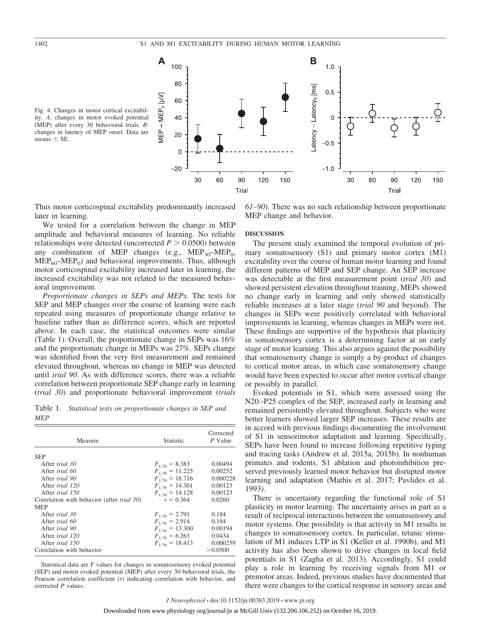



Thus motor corticospinal excitability predominantly increased later in learning.

We tested for a correlation between the change in MEP amplitude and behavioral measures of learning. No reliable relationships were detected (uncorrected  $P > 0.0500$ ) between any combination of MEP changes (e.g.,  $MEP_{30} - MEP_0$ ,  $MEP<sub>60</sub>–MEP<sub>0</sub>$  and behavioral improvements. Thus, although motor corticospinal excitability increased later in learning, the increased excitability was not related to the measured behavioral improvement.

*Proportionate changes in SEPs and MEPs.* The tests for SEP and MEP changes over the course of learning were each repeated using measures of proportionate change relative to baseline rather than as difference scores, which are reported above. In each case, the statistical outcomes were similar (Table 1). Overall, the proportionate change in SEPs was 16% and the proportionate change in MEPs was 27%. SEPs change was identified from the very first measurement and remained elevated throughout, whereas no change in MEP was detected until *trial 90*. As with difference scores, there was a reliable correlation between proportionate SEP change early in learning (*trial 30*) and proportionate behavioral improvement (*trials*

Table 1. *Statistical tests on proportionate changes in SEP and MEP*

| Measure                                            | <b>Statistic</b>    | Corrected<br>P Value |
|----------------------------------------------------|---------------------|----------------------|
| <b>SEP</b>                                         |                     |                      |
| After <i>trial</i> 30                              | $F_{1.76} = 8.383$  | 0.00494              |
| After <i>trial</i> 60                              | $F_{1,76} = 11.225$ | 0.00252              |
| After trial 90                                     | $F_{1,76} = 18.716$ | 0.000228             |
| After <i>trial</i> 120                             | $F_{1,76} = 14.301$ | 0.00123              |
| After <i>trial</i> 150                             | $F_{1,76} = 14.128$ | 0.00123              |
| Correlation with behavior (after <i>trial 30</i> ) | $r = 0.364$         | 0.0260               |
| <b>MEP</b>                                         |                     |                      |
| After trial 30                                     | $F_{1.76} = 2.791$  | 0.184                |
| After trial 60                                     | $F_{1.76} = 2.914$  | 0.184                |
| After <i>trial</i> 90                              | $F_{1.76} = 13.300$ | 0.00194              |
| After <i>trial</i> 120                             | $F_{1.76} = 6.263$  | 0.0434               |
| After <i>trial</i> 150                             | $F_{1.76} = 18.413$ | 0.000259             |
| Correlation with behavior                          |                     | > 0.0500             |

Statistical data are *F* values for changes in somatosensory evoked potential (SEP) and motor evoked potential (MEP) after every 30 behavioral trials, the Pearson correlation coefficient (*r*) indicating correlation with behavior, and corrected *P* values.

*61–90*). There was no such relationship between proportionate MEP change and behavior.

#### **DISCUSSION**

The present study examined the temporal evolution of primary somatosensory (S1) and primary motor cortex (M1) excitability over the course of human motor learning and found different patterns of MEP and SEP change. An SEP increase was detectable at the first measurement point (*trial 30*) and showed persistent elevation throughout training. MEPs showed no change early in learning and only showed statistically reliable increases at a later stage (*trial 90* and beyond). The changes in SEPs were positively correlated with behavioral improvements in learning, whereas changes in MEPs were not. These findings are supportive of the hypothesis that plasticity in somatosensory cortex is a determining factor at an early stage of motor learning. This also argues against the possibility that somatosensory change is simply a by-product of changes to cortical motor areas, in which case somatosensory change would have been expected to occur after motor cortical change or possibly in parallel.

Evoked potentials in S1, which were assessed using the N20 –P25 complex of the SEP, increased early in learning and remained persistently elevated throughout. Subjects who were better learners showed larger SEP increases. These results are in accord with previous findings documenting the involvement of S1 in sensorimotor adaptation and learning. Specifically, SEPs have been found to increase following repetitive typing and tracing tasks (Andrew et al. 2015a, 2015b). In nonhuman primates and rodents, S1 ablation and photoinhibition preserved previously learned motor behavior but disrupted motor learning and adaptation (Mathis et al. 2017; Pavlides et al. 1993).

There is uncertainty regarding the functional role of S1 plasticity in motor learning. The uncertainty arises in part as a result of reciprocal interactions between the somatosensory and motor systems. One possibility is that activity in M1 results in changes to somatosensory cortex. In particular, tetanic stimulation of M1 induces LTP in S1 (Keller et al. 1990b), and M1 activity has also been shown to drive changes in local field potentials in S1 (Zagha et al. 2013). Accordingly, S1 could play a role in learning by receiving signals from M1 or premotor areas. Indeed, previous studies have documented that there were changes to the cortical response in sensory areas and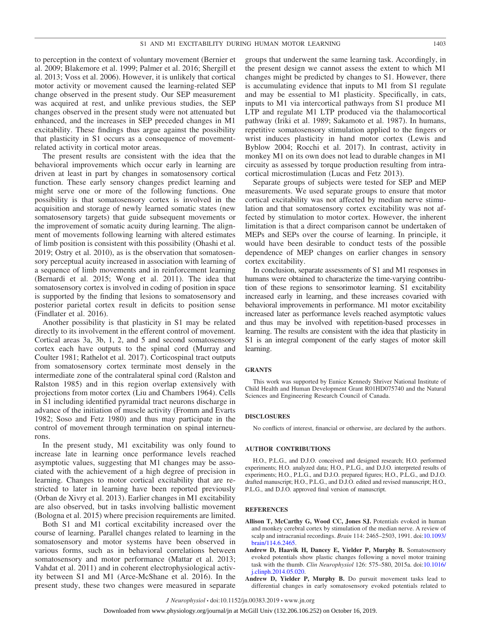to perception in the context of voluntary movement (Bernier et al. 2009; Blakemore et al. 1999; Palmer et al. 2016; Shergill et al. 2013; Voss et al. 2006). However, it is unlikely that cortical motor activity or movement caused the learning-related SEP change observed in the present study. Our SEP measurement was acquired at rest, and unlike previous studies, the SEP changes observed in the present study were not attenuated but enhanced, and the increases in SEP preceded changes in M1 excitability. These findings thus argue against the possibility that plasticity in S1 occurs as a consequence of movementrelated activity in cortical motor areas.

The present results are consistent with the idea that the behavioral improvements which occur early in learning are driven at least in part by changes in somatosensory cortical function. These early sensory changes predict learning and might serve one or more of the following functions. One possibility is that somatosensory cortex is involved in the acquisition and storage of newly learned somatic states (new somatosensory targets) that guide subsequent movements or the improvement of somatic acuity during learning. The alignment of movements following learning with altered estimates of limb position is consistent with this possibility (Ohashi et al. 2019; Ostry et al. 2010), as is the observation that somatosensory perceptual acuity increased in association with learning of a sequence of limb movements and in reinforcement learning (Bernardi et al. 2015; Wong et al. 2011). The idea that somatosensory cortex is involved in coding of position in space is supported by the finding that lesions to somatosensory and posterior parietal cortex result in deficits to position sense (Findlater et al. 2016).

Another possibility is that plasticity in S1 may be related directly to its involvement in the efferent control of movement. Cortical areas 3a, 3b, 1, 2, and 5 and second somatosensory cortex each have outputs to the spinal cord (Murray and Coulter 1981; Rathelot et al. 2017). Corticospinal tract outputs from somatosensory cortex terminate most densely in the intermediate zone of the contralateral spinal cord (Ralston and Ralston 1985) and in this region overlap extensively with projections from motor cortex (Liu and Chambers 1964). Cells in S1 including identified pyramidal tract neurons discharge in advance of the initiation of muscle activity (Fromm and Evarts 1982; Soso and Fetz 1980) and thus may participate in the control of movement through termination on spinal interneurons.

In the present study, M1 excitability was only found to increase late in learning once performance levels reached asymptotic values, suggesting that M1 changes may be associated with the achievement of a high degree of precision in learning. Changes to motor cortical excitability that are restricted to later in learning have been reported previously (Orban de Xivry et al. 2013). Earlier changes in M1 excitability are also observed, but in tasks involving ballistic movement (Bologna et al. 2015) where precision requirements are limited.

Both S1 and M1 cortical excitability increased over the course of learning. Parallel changes related to learning in the somatosensory and motor systems have been observed in various forms, such as in behavioral correlations between somatosensory and motor performance (Mattar et al. 2013; Vahdat et al. 2011) and in coherent electrophysiological activity between S1 and M1 (Arce-McShane et al. 2016). In the present study, these two changes were measured in separate

groups that underwent the same learning task. Accordingly, in the present design we cannot assess the extent to which M1 changes might be predicted by changes to S1. However, there is accumulating evidence that inputs to M1 from S1 regulate and may be essential to M1 plasticity. Specifically, in cats, inputs to M1 via intercortical pathways from S1 produce M1 LTP and regulate M1 LTP produced via the thalamocortical pathway (Iriki et al. 1989; Sakamoto et al. 1987). In humans, repetitive somatosensory stimulation applied to the fingers or wrist induces plasticity in hand motor cortex (Lewis and Byblow 2004; Rocchi et al. 2017). In contrast, activity in monkey M1 on its own does not lead to durable changes in M1 circuity as assessed by torque production resulting from intracortical microstimulation (Lucas and Fetz 2013).

Separate groups of subjects were tested for SEP and MEP measurements. We used separate groups to ensure that motor cortical excitability was not affected by median nerve stimulation and that somatosensory cortex excitability was not affected by stimulation to motor cortex. However, the inherent limitation is that a direct comparison cannot be undertaken of MEPs and SEPs over the course of learning. In principle, it would have been desirable to conduct tests of the possible dependence of MEP changes on earlier changes in sensory cortex excitability.

In conclusion, separate assessments of S1 and M1 responses in humans were obtained to characterize the time-varying contribution of these regions to sensorimotor learning. S1 excitability increased early in learning, and these increases covaried with behavioral improvements in performance. M1 motor excitability increased later as performance levels reached asymptotic values and thus may be involved with repetition-based processes in learning. The results are consistent with the idea that plasticity in S1 is an integral component of the early stages of motor skill learning.

#### **GRANTS**

This work was supported by Eunice Kennedy Shriver National Institute of Child Health and Human Development Grant R01HD075740 and the Natural Sciences and Engineering Research Council of Canada.

#### **DISCLOSURES**

No conflicts of interest, financial or otherwise, are declared by the authors.

#### **AUTHOR CONTRIBUTIONS**

H.O., P.L.G., and D.J.O. conceived and designed research; H.O. performed experiments; H.O. analyzed data; H.O., P.L.G., and D.J.O. interpreted results of experiments; H.O., P.L.G., and D.J.O. prepared figures; H.O., P.L.G., and D.J.O. drafted manuscript; H.O., P.L.G., and D.J.O. edited and revised manuscript; H.O., P.L.G., and D.J.O. approved final version of manuscript.

#### **REFERENCES**

- **Allison T, McCarthy G, Wood CC, Jones SJ.** Potentials evoked in human and monkey cerebral cortex by stimulation of the median nerve. A review of scalp and intracranial recordings. *Brain* 114: 2465–2503, 1991. doi[:10.1093/](https://doi.org/10.1093/brain/114.6.2465) [brain/114.6.2465.](https://doi.org/10.1093/brain/114.6.2465)
- **Andrew D, Haavik H, Dancey E, Yielder P, Murphy B.** Somatosensory evoked potentials show plastic changes following a novel motor training task with the thumb. *Clin Neurophysiol* 126: 575–580, 2015a. doi[:10.1016/](https://doi.org/10.1016/j.clinph.2014.05.020) [j.clinph.2014.05.020.](https://doi.org/10.1016/j.clinph.2014.05.020)
- **Andrew D, Yielder P, Murphy B.** Do pursuit movement tasks lead to differential changes in early somatosensory evoked potentials related to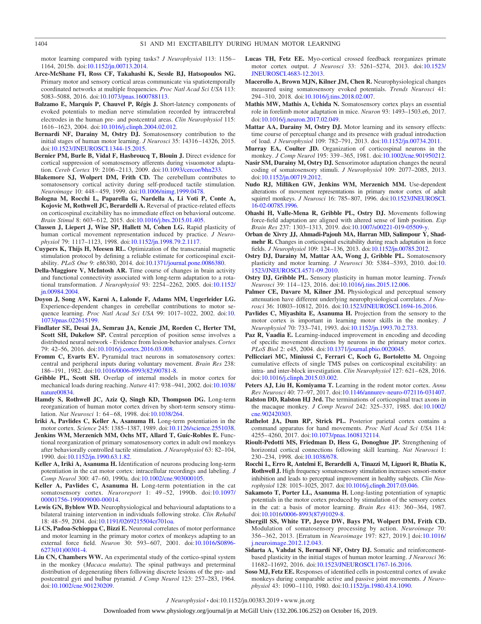motor learning compared with typing tasks? *J Neurophysiol* 113: 1156 – 1164, 2015b. doi[:10.1152/jn.00713.2014.](https://doi.org/10.1152/jn.00713.2014)

- **Arce-McShane FI, Ross CF, Takahashi K, Sessle BJ, Hatsopoulos NG.** Primary motor and sensory cortical areas communicate via spatiotemporally coordinated networks at multiple frequencies. *Proc Natl Acad Sci USA* 113: 5083–5088, 2016. doi[:10.1073/pnas.1600788113.](https://doi.org/10.1073/pnas.1600788113)
- **Balzamo E, Marquis P, Chauvel P, Régis J.** Short-latency components of evoked potentials to median nerve stimulation recorded by intracerebral electrodes in the human pre- and postcentral areas. *Clin Neurophysiol* 115: 1616 –1623, 2004. doi[:10.1016/j.clinph.2004.02.012.](https://doi.org/10.1016/j.clinph.2004.02.012)
- **Bernardi NF, Darainy M, Ostry DJ.** Somatosensory contribution to the initial stages of human motor learning. *J Neurosci* 35: 14316 –14326, 2015. doi[:10.1523/JNEUROSCI.1344-15.2015.](https://doi.org/10.1523/JNEUROSCI.1344-15.2015)
- **Bernier PM, Burle B, Vidal F, Hasbroucq T, Blouin J.** Direct evidence for cortical suppression of somatosensory afferents during visuomotor adaptation. *Cereb Cortex* 19: 2106 –2113, 2009. doi[:10.1093/cercor/bhn233.](https://doi.org/10.1093/cercor/bhn233)
- **Blakemore SJ, Wolpert DM, Frith CD.** The cerebellum contributes to somatosensory cortical activity during self-produced tactile stimulation. *Neuroimage* 10: 448 – 459, 1999. doi[:10.1006/nimg.1999.0478.](https://doi.org/10.1006/nimg.1999.0478)
- **Bologna M, Rocchi L, Paparella G, Nardella A, Li Voti P, Conte A, Kojovic M, Rothwell JC, Berardelli A.** Reversal of practice-related effects on corticospinal excitability has no immediate effect on behavioral outcome. *Brain Stimul* 8: 603– 612, 2015. doi[:10.1016/j.brs.2015.01.405.](https://doi.org/10.1016/j.brs.2015.01.405)
- **Classen J, Liepert J, Wise SP, Hallett M, Cohen LG.** Rapid plasticity of human cortical movement representation induced by practice. *J Neurophysiol* 79: 1117–1123, 1998. doi[:10.1152/jn.1998.79.2.1117.](https://doi.org/10.1152/jn.1998.79.2.1117)
- **Cuypers K, Thijs H, Meesen RL.** Optimization of the transcranial magnetic stimulation protocol by defining a reliable estimate for corticospinal excitability. *PLoS One* 9: e86380, 2014. doi[:10.1371/journal.pone.0086380.](https://doi.org/10.1371/journal.pone.0086380)
- **Della-Maggiore V, McIntosh AR.** Time course of changes in brain activity and functional connectivity associated with long-term adaptation to a rotational transformation. *J Neurophysiol* 93: 2254 –2262, 2005. doi[:10.1152/](https://doi.org/10.1152/jn.00984.2004) [jn.00984.2004.](https://doi.org/10.1152/jn.00984.2004)
- **Doyon J, Song AW, Karni A, Lalonde F, Adams MM, Ungerleider LG.** Experience-dependent changes in cerebellar contributions to motor sequence learning. *Proc Natl Acad Sci USA* 99: 1017–1022, 2002. doi[:10.](https://doi.org/10.1073/pnas.022615199) [1073/pnas.022615199.](https://doi.org/10.1073/pnas.022615199)
- **Findlater SE, Desai JA, Semrau JA, Kenzie JM, Rorden C, Herter TM, Scott SH, Dukelow SP.** Central perception of position sense involves a distributed neural network - Evidence from lesion-behavior analyses. *Cortex* 79: 42–56, 2016. doi[:10.1016/j.cortex.2016.03.008.](https://doi.org/10.1016/j.cortex.2016.03.008)
- **Fromm C, Evarts EV.** Pyramidal tract neurons in somatosensory cortex: central and peripheral inputs during voluntary movement. *Brain Res* 238: 186 –191, 1982. doi[:10.1016/0006-8993\(82\)90781-8.](https://doi.org/10.1016/0006-8993(82)90781-8)
- **Gribble PL, Scott SH.** Overlap of internal models in motor cortex for mechanical loads during reaching. *Nature* 417: 938 –941, 2002. doi[:10.1038/](https://doi.org/10.1038/nature00834) [nature00834.](https://doi.org/10.1038/nature00834)
- **Hamdy S, Rothwell JC, Aziz Q, Singh KD, Thompson DG.** Long-term reorganization of human motor cortex driven by short-term sensory stimulation. *Nat Neurosci* 1: 64 – 68, 1998. doi[:10.1038/264.](https://doi.org/10.1038/264)
- **Iriki A, Pavlides C, Keller A, Asanuma H.** Long-term potentiation in the motor cortex. *Science* 245: 1385–1387, 1989. doi[:10.1126/science.2551038.](https://doi.org/10.1126/science.2551038)
- **Jenkins WM, Merzenich MM, Ochs MT, Allard T, Guíc-Robles E.** Functional reorganization of primary somatosensory cortex in adult owl monkeys after behaviorally controlled tactile stimulation. *J Neurophysiol* 63: 82–104, 1990. doi[:10.1152/jn.1990.63.1.82.](https://doi.org/10.1152/jn.1990.63.1.82)
- **Keller A, Iriki A, Asanuma H.** Identification of neurons producing long-term potentiation in the cat motor cortex: intracellular recordings and labeling. *J Comp Neurol* 300: 47– 60, 1990a. doi[:10.1002/cne.903000105.](https://doi.org/10.1002/cne.903000105)
- **Keller A, Pavlides C, Asanuma H.** Long-term potentiation in the cat somatosensory cortex. *Neuroreport* 1: 49 –52, 1990b. doi[:10.1097/](https://doi.org/10.1097/00001756-199009000-00014) [00001756-199009000-00014.](https://doi.org/10.1097/00001756-199009000-00014)
- **Lewis GN, Byblow WD.** Neurophysiological and behavioural adaptations to a bilateral training intervention in individuals following stroke. *Clin Rehabil* 18: 48 –59, 2004. doi[:10.1191/0269215504cr701oa.](https://doi.org/10.1191/0269215504cr701oa)
- **Li CS, Padoa-Schioppa C, Bizzi E.** Neuronal correlates of motor performance and motor learning in the primary motor cortex of monkeys adapting to an external force field. *Neuron* 30: 593-607, 2001. doi[:10.1016/S0896-](https://doi.org/10.1016/S0896-6273(01)00301-4) [6273\(01\)00301-4.](https://doi.org/10.1016/S0896-6273(01)00301-4)
- **Liu CN, Chambers WW.** An experimental study of the cortico-spinal system in the monkey (*Macaca mulatta*). The spinal pathways and preterminal distribution of degenerating fibers following discrete lesions of the pre- and postcentral gyri and bulbar pyramid. *J Comp Neurol* 123: 257–283, 1964. doi[:10.1002/cne.901230209.](https://doi.org/10.1002/cne.901230209)
- **Lucas TH, Fetz EE.** Myo-cortical crossed feedback reorganizes primate motor cortex output. *J Neurosci* 33: 5261–5274, 2013. doi[:10.1523/](https://doi.org/10.1523/JNEUROSCI.4683-12.2013) [JNEUROSCI.4683-12.2013.](https://doi.org/10.1523/JNEUROSCI.4683-12.2013)
- **Macerollo A, Brown MJN, Kilner JM, Chen R.** Neurophysiological changes measured using somatosensory evoked potentials. *Trends Neurosci* 41: 294 –310, 2018. doi[:10.1016/j.tins.2018.02.007.](https://doi.org/10.1016/j.tins.2018.02.007)
- **Mathis MW, Mathis A, Uchida N.** Somatosensory cortex plays an essential role in forelimb motor adaptation in mice. *Neuron* 93: 1493–1503.e6, 2017. doi[:10.1016/j.neuron.2017.02.049.](https://doi.org/10.1016/j.neuron.2017.02.049)
- **Mattar AA, Darainy M, Ostry DJ.** Motor learning and its sensory effects: time course of perceptual change and its presence with gradual introduction of load. *J Neurophysiol* 109: 782–791, 2013. doi[:10.1152/jn.00734.2011.](https://doi.org/10.1152/jn.00734.2011)
- **Murray EA, Coulter JD.** Organization of corticospinal neurons in the monkey. *J Comp Neurol* 195: 339 –365, 1981. doi[:10.1002/cne.901950212.](https://doi.org/10.1002/cne.901950212)
- **Nasir SM, Darainy M, Ostry DJ.** Sensorimotor adaptation changes the neural coding of somatosensory stimuli. *J Neurophysiol* 109: 2077–2085, 2013. doi[:10.1152/jn.00719.2012.](https://doi.org/10.1152/jn.00719.2012)
- **Nudo RJ, Milliken GW, Jenkins WM, Merzenich MM.** Use-dependent alterations of movement representations in primary motor cortex of adult squirrel monkeys. *J Neurosci* 16: 785– 807, 1996. doi[:10.1523/JNEUROSCI.](https://doi.org/10.1523/JNEUROSCI.16-02-00785.1996) [16-02-00785.1996.](https://doi.org/10.1523/JNEUROSCI.16-02-00785.1996)
- **Ohashi H, Valle-Mena R, Gribble PL, Ostry DJ.** Movements following force-field adaptation are aligned with altered sense of limb position. *Exp Brain Res* 237: 1303–1313, 2019. doi[:10.1007/s00221-019-05509-y.](https://doi.org/10.1007/s00221-019-05509-y)
- **Orban de Xivry JJ, Ahmadi-Pajouh MA, Harran MD, Salimpour Y, Shadmehr R.** Changes in corticospinal excitability during reach adaptation in force fields. *J Neurophysiol* 109: 124 –136, 2013. doi[:10.1152/jn.00785.2012.](https://doi.org/10.1152/jn.00785.2012)
- **Ostry DJ, Darainy M, Mattar AA, Wong J, Gribble PL.** Somatosensory plasticity and motor learning. *J Neurosci* 30: 5384 –5393, 2010. doi[:10.](https://doi.org/10.1523/JNEUROSCI.4571-09.2010) [1523/JNEUROSCI.4571-09.2010.](https://doi.org/10.1523/JNEUROSCI.4571-09.2010)
- **Ostry DJ, Gribble PL.** Sensory plasticity in human motor learning. *Trends Neurosci* 39: 114 –123, 2016. doi[:10.1016/j.tins.2015.12.006.](https://doi.org/10.1016/j.tins.2015.12.006)
- Palmer CE, Davare M, Kilner JM. Physiological and perceptual sensory attenuation have different underlying neurophysiological correlates. *J Neurosci* 36: 10803–10812, 2016. doi[:10.1523/JNEUROSCI.1694-16.2016.](https://doi.org/10.1523/JNEUROSCI.1694-16.2016)
- **Pavlides C, Miyashita E, Asanuma H.** Projection from the sensory to the motor cortex is important in learning motor skills in the monkey. *J Neurophysiol* 70: 733–741, 1993. doi[:10.1152/jn.1993.70.2.733.](https://doi.org/10.1152/jn.1993.70.2.733)
- **Paz R, Vaadia E.** Learning-induced improvement in encoding and decoding of specific movement directions by neurons in the primary motor cortex. *PLoS Biol* 2: e45, 2004. doi[:10.1371/journal.pbio.0020045.](https://doi.org/10.1371/journal.pbio.0020045)
- **Pellicciari MC, Miniussi C, Ferrari C, Koch G, Bortoletto M.** Ongoing cumulative effects of single TMS pulses on corticospinal excitability: an intra- and inter-block investigation. *Clin Neurophysiol* 127: 621– 628, 2016. doi[:10.1016/j.clinph.2015.03.002.](https://doi.org/10.1016/j.clinph.2015.03.002)
- **Peters AJ, Liu H, Komiyama T.** Learning in the rodent motor cortex. *Annu Rev Neurosci* 40: 77–97, 2017. doi[:10.1146/annurev-neuro-072116-031407.](https://doi.org/10.1146/annurev-neuro-072116-031407)
- **Ralston DD, Ralston HJ 3rd.** The terminations of corticospinal tract axons in the macaque monkey. *J Comp Neurol* 242: 325–337, 1985. doi[:10.1002/](https://doi.org/10.1002/cne.902420303) [cne.902420303.](https://doi.org/10.1002/cne.902420303)
- **Rathelot JA, Dum RP, Strick PL.** Posterior parietal cortex contains a command apparatus for hand movements. *Proc Natl Acad Sci USA* 114: 4255– 4260, 2017. doi[:10.1073/pnas.1608132114.](https://doi.org/10.1073/pnas.1608132114)
- **Rioult-Pedotti MS, Friedman D, Hess G, Donoghue JP.** Strengthening of horizontal cortical connections following skill learning. *Nat Neurosci* 1: 230 –234, 1998. doi[:10.1038/678.](https://doi.org/10.1038/678)
- **Rocchi L, Erro R, Antelmi E, Berardelli A, Tinazzi M, Liguori R, Bhatia K, Rothwell J.** High frequency somatosensory stimulation increases sensori-motor inhibition and leads to perceptual improvement in healthy subjects. *Clin Neurophysiol* 128: 1015–1025, 2017. doi[:10.1016/j.clinph.2017.03.046.](https://doi.org/10.1016/j.clinph.2017.03.046)
- **Sakamoto T, Porter LL, Asanuma H.** Long-lasting potentiation of synaptic potentials in the motor cortex produced by stimulation of the sensory cortex in the cat: a basis of motor learning. *Brain Res* 413: 360 –364, 1987. doi[:10.1016/0006-8993\(87\)91029-8.](https://doi.org/10.1016/0006-8993(87)91029-8)
- **Shergill SS, White TP, Joyce DW, Bays PM, Wolpert DM, Frith CD.** Modulation of somatosensory processing by action. *Neuroimage* 70: 356 –362, 2013. [Erratum in *Neuroimage* 197: 827, 2019.] doi[:10.1016/](https://doi.org/10.1016/j.neuroimage.2012.12.043) [j.neuroimage.2012.12.043.](https://doi.org/10.1016/j.neuroimage.2012.12.043)
- **Sidarta A, Vahdat S, Bernardi NF, Ostry DJ.** Somatic and reinforcementbased plasticity in the initial stages of human motor learning. *J Neurosci* 36: 11682–11692, 2016. doi[:10.1523/JNEUROSCI.1767-16.2016.](https://doi.org/10.1523/JNEUROSCI.1767-16.2016)
- **Soso MJ, Fetz EE.** Responses of identified cells in postcentral cortex of awake monkeys during comparable active and passive joint movements. *J Neurophysiol* 43: 1090 –1110, 1980. doi[:10.1152/jn.1980.43.4.1090.](https://doi.org/10.1152/jn.1980.43.4.1090)